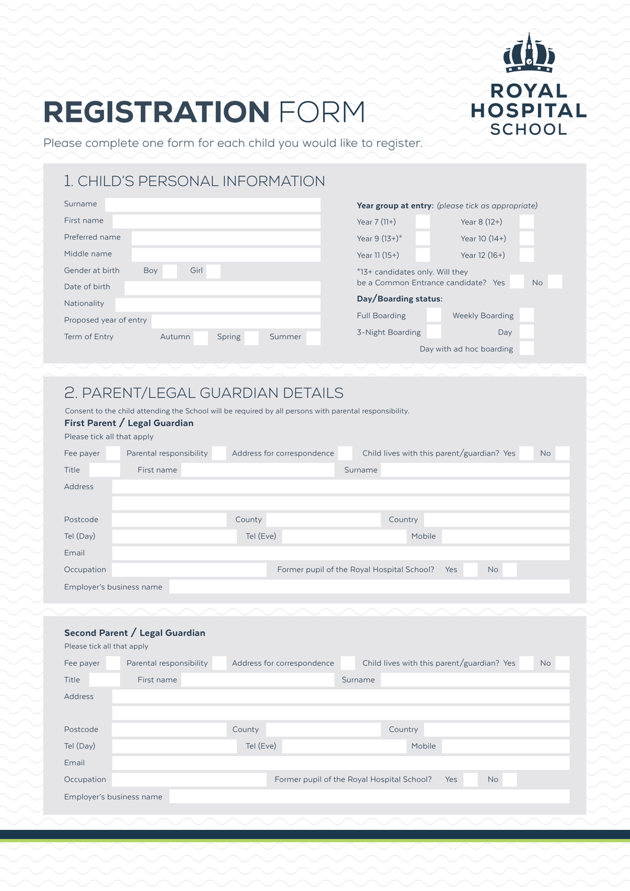# REGISTRATION FORM



Please complete one form for each child you would like to register.

### 1. CHILD'S PERSONAL INFORMATION

| Surname                                     | Year group at entry:    |
|---------------------------------------------|-------------------------|
| First name                                  | Year $7(11+)$           |
| Preferred name                              | Year $9(13+)$ *         |
| Middle name                                 | Year $11(15+)$          |
| Girl<br>Gender at birth<br>Boy              | *13+ candidates only. \ |
| Date of birth                               | be a Common Entrano     |
| Nationality                                 | Day/Boarding status     |
| Proposed year of entry                      | <b>Full Boarding</b>    |
| Term of Entry<br>Autumn<br>Spring<br>Summer | 3-Night Boarding        |
|                                             | Day v                   |
|                                             |                         |

| Year group at entry: (please tick as appropriate)                                   |                |  |  |  |  |  |
|-------------------------------------------------------------------------------------|----------------|--|--|--|--|--|
| Year $7(11+)$                                                                       | Year $8(12+)$  |  |  |  |  |  |
| Year 9 $(13+)$ <sup>*</sup>                                                         | Year $10(14+)$ |  |  |  |  |  |
| Year $11(15+)$<br>Year $12(16+)$                                                    |                |  |  |  |  |  |
| *13+ candidates only. Will they<br><b>No</b><br>be a Common Entrance candidate? Yes |                |  |  |  |  |  |
| Day/Boarding status:                                                                |                |  |  |  |  |  |
| <b>Weekly Boarding</b><br><b>Full Boarding</b>                                      |                |  |  |  |  |  |
| 3-Night Boarding<br>Day                                                             |                |  |  |  |  |  |
| Day with ad hoc boarding                                                            |                |  |  |  |  |  |

### 2. PARENT/LEGAL GUARDIAN DETAILS

Consent to the child attending the School will be required by all persons with parental responsibility.

#### First Parent / Legal Guardian

| Please tick all that apply |                         |                            |                                            |                                            |           |           |
|----------------------------|-------------------------|----------------------------|--------------------------------------------|--------------------------------------------|-----------|-----------|
| Fee payer                  | Parental responsibility | Address for correspondence |                                            | Child lives with this parent/guardian? Yes |           | <b>No</b> |
| Title                      | First name              |                            | Surname                                    |                                            |           |           |
| Address                    |                         |                            |                                            |                                            |           |           |
|                            |                         |                            |                                            |                                            |           |           |
| Postcode                   |                         | County                     |                                            | Country                                    |           |           |
| Tel (Day)                  |                         | Tel (Eve)                  |                                            | Mobile                                     |           |           |
| Email                      |                         |                            |                                            |                                            |           |           |
| Occupation                 |                         |                            | Former pupil of the Royal Hospital School? | Yes                                        | <b>No</b> |           |
| Employer's business name   |                         |                            |                                            |                                            |           |           |
|                            |                         |                            |                                            |                                            |           |           |

#### Second Parent / Legal Guardian

Please tick all that apply

| Fee payer                | Parental responsibility |           | Address for correspondence                 |         | Child lives with this parent/guardian? Yes |     |           | <b>No</b> |
|--------------------------|-------------------------|-----------|--------------------------------------------|---------|--------------------------------------------|-----|-----------|-----------|
| Title                    | First name              |           |                                            | Surname |                                            |     |           |           |
| Address                  |                         |           |                                            |         |                                            |     |           |           |
|                          |                         |           |                                            |         |                                            |     |           |           |
| Postcode                 |                         | County    |                                            |         | Country                                    |     |           |           |
| Tel (Day)                |                         | Tel (Eve) |                                            |         | Mobile                                     |     |           |           |
| Email                    |                         |           |                                            |         |                                            |     |           |           |
| Occupation               |                         |           | Former pupil of the Royal Hospital School? |         |                                            | Yes | <b>No</b> |           |
| Employer's business name |                         |           |                                            |         |                                            |     |           |           |
|                          |                         |           |                                            |         |                                            |     |           |           |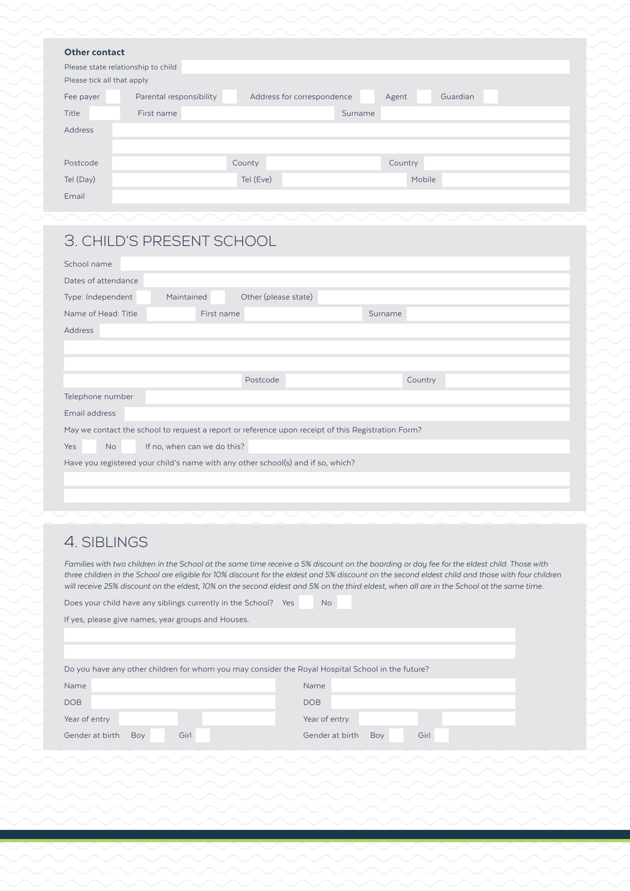|                | Please state relationship to child |           |                            |         |          |  |
|----------------|------------------------------------|-----------|----------------------------|---------|----------|--|
|                | Please tick all that apply         |           |                            |         |          |  |
| Fee payer      | Parental responsibility            |           | Address for correspondence | Agent   | Guardian |  |
| <b>Title</b>   | First name                         |           | Surname                    |         |          |  |
| <b>Address</b> |                                    |           |                            |         |          |  |
|                |                                    |           |                            |         |          |  |
| Postcode       |                                    | County    |                            | Country |          |  |
| Tel (Day)      |                                    | Tel (Eve) |                            | Mobile  |          |  |
| Email          |                                    |           |                            |         |          |  |

# 3. CHILD'S PRESENT SCHOOL

| School name                                                                                        |            |                      |         |         |  |  |  |  |
|----------------------------------------------------------------------------------------------------|------------|----------------------|---------|---------|--|--|--|--|
| Dates of attendance                                                                                |            |                      |         |         |  |  |  |  |
| Type: Independent                                                                                  | Maintained | Other (please state) |         |         |  |  |  |  |
| Name of Head: Title                                                                                | First name |                      | Surname |         |  |  |  |  |
| Address                                                                                            |            |                      |         |         |  |  |  |  |
|                                                                                                    |            |                      |         |         |  |  |  |  |
|                                                                                                    |            |                      |         |         |  |  |  |  |
|                                                                                                    |            | Postcode             |         | Country |  |  |  |  |
| Telephone number                                                                                   |            |                      |         |         |  |  |  |  |
| Email address                                                                                      |            |                      |         |         |  |  |  |  |
| May we contact the school to request a report or reference upon receipt of this Registration Form? |            |                      |         |         |  |  |  |  |
| Yes<br>If no, when can we do this?<br>No.                                                          |            |                      |         |         |  |  |  |  |
| Have you registered your child's name with any other school(s) and if so, which?                   |            |                      |         |         |  |  |  |  |
|                                                                                                    |            |                      |         |         |  |  |  |  |

### 4. SIBLI

*Families with two children in the School at the same time receive a 5% discount on the boarding or day fee for the eldest child. Those with three children in the School are eligible for 10% discount for the eldest and 5% discount on the second eldest child and those with four children will receive 25% discount on the eldest, 10% on the second eldest and 5% on the third eldest, when all are in the School at the same time.*

| Does your child have any siblings currently in the School? Yes                                    | N <sub>o</sub>                 |  |  |  |  |  |  |
|---------------------------------------------------------------------------------------------------|--------------------------------|--|--|--|--|--|--|
| If yes, please give names, year groups and Houses.                                                |                                |  |  |  |  |  |  |
|                                                                                                   |                                |  |  |  |  |  |  |
|                                                                                                   |                                |  |  |  |  |  |  |
| Do you have any other children for whom you may consider the Royal Hospital School in the future? |                                |  |  |  |  |  |  |
| Name                                                                                              | Name                           |  |  |  |  |  |  |
| <b>DOB</b>                                                                                        | <b>DOB</b>                     |  |  |  |  |  |  |
| Year of entry                                                                                     | Year of entry                  |  |  |  |  |  |  |
| Girl<br>Gender at birth<br>Boy                                                                    | Girl<br>Gender at birth<br>Boy |  |  |  |  |  |  |
|                                                                                                   |                                |  |  |  |  |  |  |

| сt                         |
|----------------------------|
| ationship t <mark>c</mark> |
|                            |
| at apply                   |
| Paren                      |
| First                      |
|                            |
|                            |
|                            |
|                            |
|                            |
|                            |
|                            |
|                            |
|                            |
|                            |
| )'S PF                     |
|                            |
|                            |
| dance                      |
| dent                       |
|                            |
| : Title                    |
|                            |
|                            |
|                            |
|                            |
|                            |
| hber                       |
|                            |
|                            |
| t the schoo                |
|                            |
| If $n$                     |
| tered your                 |
|                            |
|                            |
|                            |
|                            |
|                            |
| NGS                        |
|                            |
| vo children                |
| the Schoo                  |
| discount o                 |
| d have any                 |
|                            |
| ive names,                 |
|                            |
|                            |
|                            |
| hy other ch                |
|                            |
|                            |
|                            |
|                            |
| Bo <sup></sup><br>Ì        |
|                            |
|                            |
|                            |
|                            |
|                            |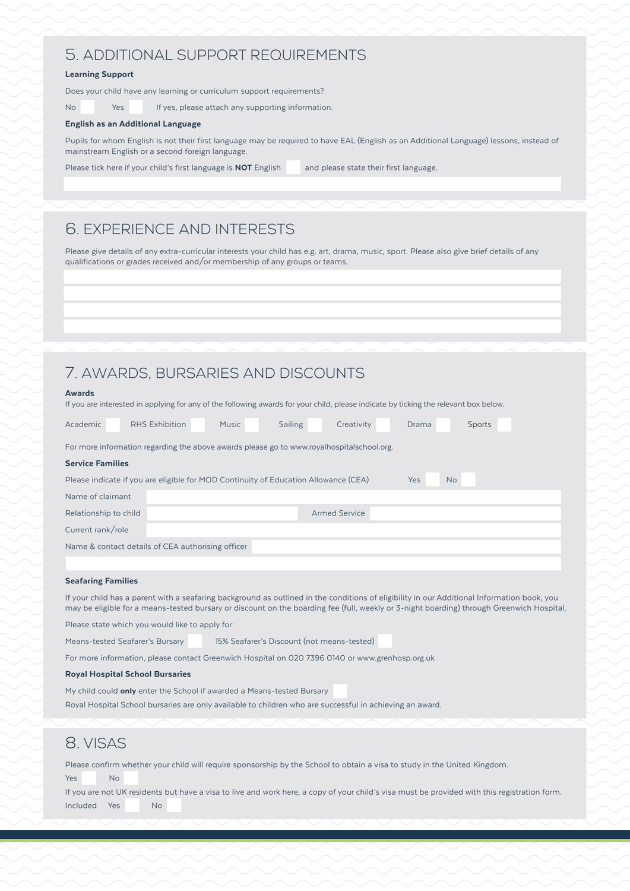### 5. ADDITIONAL SUPPORT REQUIREMENTS

#### Learning Support

Does your child have any learning or curriculum support requirements?

No Yes If yes, please attach any supporting information.

#### English as an Additional Language

Pupils for whom English is not their first language may be required to have EAL (English as an Additional Language) lessons, instead of mainstream English or a second foreign language.

Please tick here if your child's first language is **NOT** English and please state their first language.

### 6. EXPERIENCE AND INTERESTS

Please give details of any extra-curricular interests your child has e.g. art, drama, music, sport. Please also give brief details of any qualifications or grades received and/or membership of any groups or teams.

### 7. AWARDS, BURSARIES AND DISCOUNTS

| <b>Awards</b>                                                                                           |                                                                                                                                      |              |         |            |       |        |  |  |
|---------------------------------------------------------------------------------------------------------|--------------------------------------------------------------------------------------------------------------------------------------|--------------|---------|------------|-------|--------|--|--|
|                                                                                                         | If you are interested in applying for any of the following awards for your child, please indicate by ticking the relevant box below. |              |         |            |       |        |  |  |
|                                                                                                         |                                                                                                                                      |              |         |            |       |        |  |  |
| Academic                                                                                                | RHS Exhibition                                                                                                                       | <b>Music</b> | Sailing | Creativity | Drama | Sports |  |  |
|                                                                                                         |                                                                                                                                      |              |         |            |       |        |  |  |
|                                                                                                         | For more information regarding the above awards please go to www.royalhospitalschool.org.                                            |              |         |            |       |        |  |  |
|                                                                                                         |                                                                                                                                      |              |         |            |       |        |  |  |
| <b>Service Families</b>                                                                                 |                                                                                                                                      |              |         |            |       |        |  |  |
| Please indicate if you are eligible for MOD Continuity of Education Allowance (CEA)<br>Yes<br><b>No</b> |                                                                                                                                      |              |         |            |       |        |  |  |
| Name of claimant                                                                                        |                                                                                                                                      |              |         |            |       |        |  |  |
|                                                                                                         |                                                                                                                                      |              |         |            |       |        |  |  |
| <b>Armed Service</b><br>Relationship to child                                                           |                                                                                                                                      |              |         |            |       |        |  |  |
| Current rank/role                                                                                       |                                                                                                                                      |              |         |            |       |        |  |  |
| Name & contact details of CEA authorising officer                                                       |                                                                                                                                      |              |         |            |       |        |  |  |
|                                                                                                         |                                                                                                                                      |              |         |            |       |        |  |  |
|                                                                                                         |                                                                                                                                      |              |         |            |       |        |  |  |

#### Seafaring Families

If your child has a parent with a seafaring background as outlined in the conditions of eligibility in our Additional Information book, you may be eligible for a means-tested bursary or discount on the boarding fee (full, weekly or 3-night boarding) through Greenwich Hospital.

Please state which you would like to apply for:

Means-tested Seafarer's Bursary 15% Seafarer's Discount (not means-tested)

For more information, please contact Greenwich Hospital on 020 7396 0140 or www.grenhosp.org.uk

#### Royal Hospital School Bursaries

My child could **only** enter the School if awarded a Means-tested Bursary

Royal Hospital School bursaries are only available to children who are successful in achieving an award.

### 8. VISAS

Please confirm whether your child will require sponsorship by the School to obtain a visa to study in the United Kingdom. Yes No

If you are not UK residents but have a visa to live and work here, a copy of your child's visa must be provided with this registration form. Included Yes No